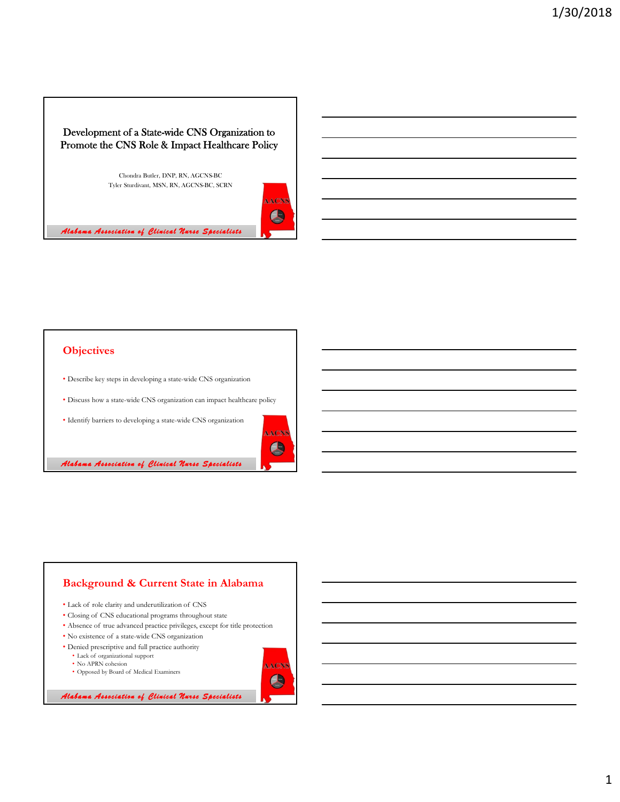# Development of a State-wide CNS Organization to Promote the CNS Role & Impact Healthcare Policy

Chondra Butler, DNP, RN, AGCNS-BC Tyler Sturdivant, MSN, RN, AGCNS-BC, SCRN



*Alabama Association of Clinical Nurse Specialists*

## **Objectives**

- Describe key steps in developing a state-wide CNS organization
- Discuss how a state-wide CNS organization can impact healthcare policy
- Identify barriers to developing a state-wide CNS organization



*Alabama Association of Clinical Nurse Specialists*

#### **Background & Current State in Alabama** • Lack of role clarity and underutilization of CNS • Closing of CNS educational programs throughout state • Absence of true advanced practice privileges, except for title protection • No existence of a state-wide CNS organization • Denied prescriptive and full practice authority • Lack of organizational support • No APRN cohesion AACN • Opposed by Board of Medical Examiners $\bigoplus$

*Alabama Association of Clinical Nurse Specialists*

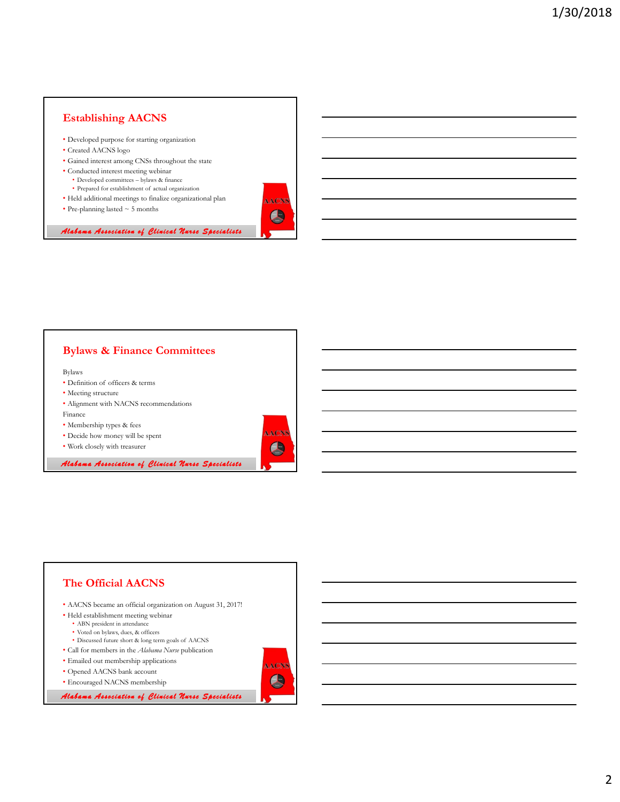## **Establishing AACNS**

- Developed purpose for starting organization
- Created AACNS logo
- Gained interest among CNSs throughout the state
- Conducted interest meeting webinar • Developed committees – bylaws & finance
	- Prepared for establishment of actual organization
- Held additional meetings to finalize organizational plan
- Pre-planning lasted ~ 5 months



AACN **A** 

**AACN!**  $\bigcirc$ 

### **Bylaws & Finance Committees**

Bylaws

- Definition of officers & terms
- Meeting structure
- Alignment with NACNS recommendations
- Finance
- Membership types & fees
- Decide how money will be spent
- Work closely with treasurer

*Alabama Association of Clinical Nurse Specialists*

#### **The Official AACNS** • AACNS became an official organization on August 31, 2017! • Held establishment meeting webinar • ABN president in attendance • Voted on bylaws, dues, & officers • Discussed future short & long term goals of AACNS • Call for members in the *Alabama Nurse* publication • Emailed out membership applications AACN • Opened AACNS bank account  $\bigcirc$ • Encouraged NACNS membership*Alabama Association of Clinical Nurse Specialists*